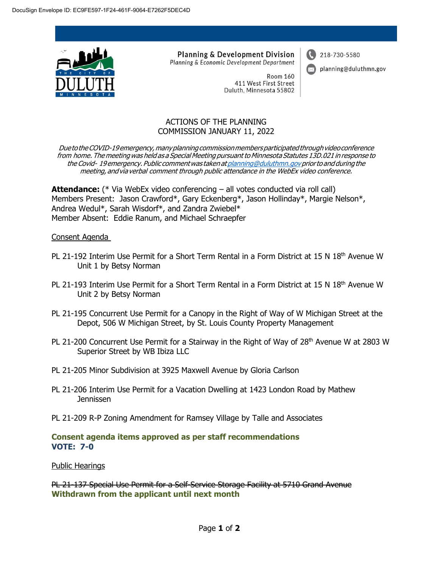

**Planning & Development Division** Planning & Economic Development Department

218-730-5580

planning@duluthmn.gov

Room 160 411 West First Street Duluth, Minnesota 55802

## ACTIONS OF THE PLANNING COMMISSION JANUARY 11, 2022

Due to the COVID-19 emergency, many planning commission members participated through video conference from home. The meeting was held as a Special Meeting pursuant to Minnesota Statutes 13D.021 in response to the Covid- 19emergency.Public commentwas takenat [planning@duluthmn.govp](mailto:planning@duluthmn.gov)riorto and during the meeting, andvia verbal comment through public attendance in the WebEx video conference.

**Attendance:** (\* Via WebEx video conferencing – all votes conducted via roll call) Members Present: Jason Crawford\*, Gary Eckenberg\*, Jason Hollinday\*, Margie Nelson\*, Andrea Wedul\*, Sarah Wisdorf\*, and Zandra Zwiebel\* Member Absent: Eddie Ranum, and Michael Schraepfer

## Consent Agenda

- PL 21-192 Interim Use Permit for a Short Term Rental in a Form District at 15 N 18<sup>th</sup> Avenue W Unit 1 by Betsy Norman
- PL 21-193 Interim Use Permit for a Short Term Rental in a Form District at 15 N 18<sup>th</sup> Avenue W Unit 2 by Betsy Norman
- PL 21-195 Concurrent Use Permit for a Canopy in the Right of Way of W Michigan Street at the Depot, 506 W Michigan Street, by St. Louis County Property Management
- PL 21-200 Concurrent Use Permit for a Stairway in the Right of Way of 28<sup>th</sup> Avenue W at 2803 W Superior Street by WB Ibiza LLC
- PL 21-205 Minor Subdivision at 3925 Maxwell Avenue by Gloria Carlson
- PL 21-206 Interim Use Permit for a Vacation Dwelling at 1423 London Road by Mathew Jennissen
- PL 21-209 R-P Zoning Amendment for Ramsey Village by Talle and Associates

## **Consent agenda items approved as per staff recommendations VOTE: 7-0**

Public Hearings

PL 21-137 Special Use Permit for a Self-Service Storage Facility at 5710 Grand Avenue **Withdrawn from the applicant until next month**